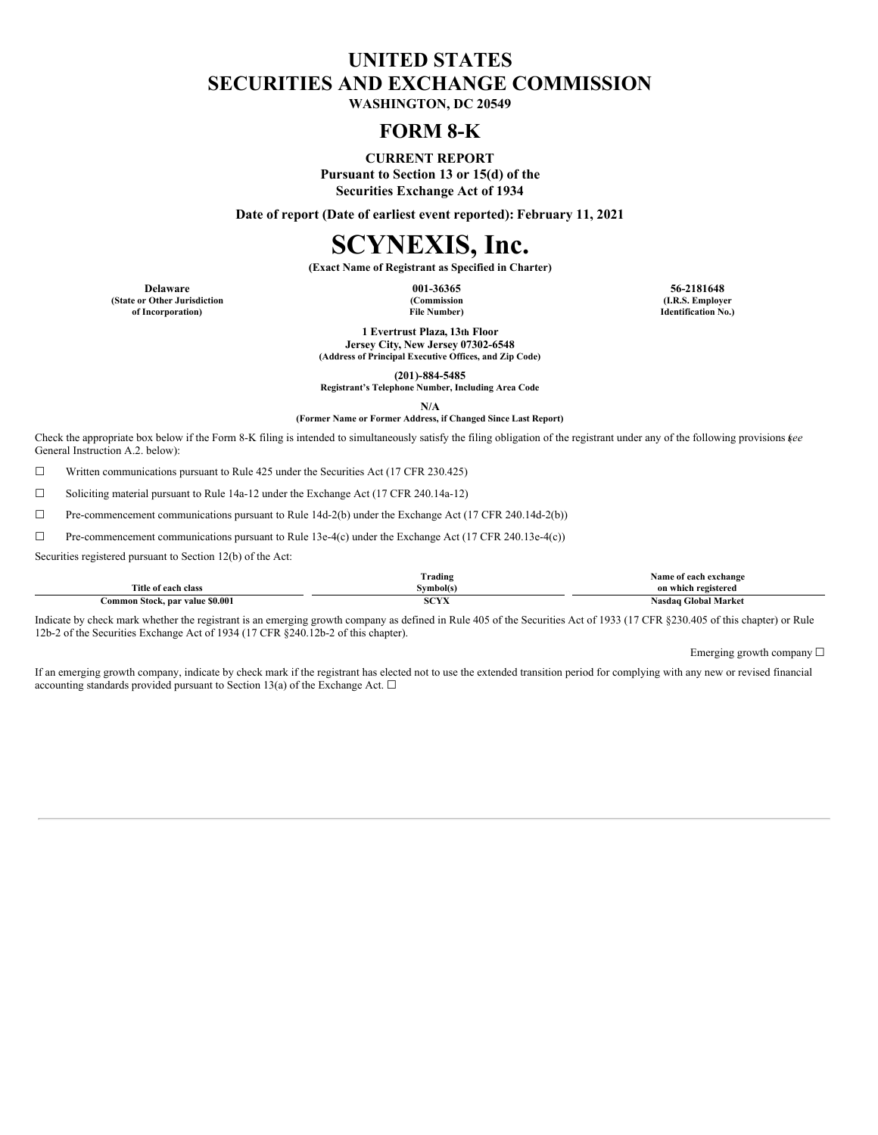## **UNITED STATES SECURITIES AND EXCHANGE COMMISSION**

**WASHINGTON, DC 20549**

### **FORM 8-K**

**CURRENT REPORT Pursuant to Section 13 or 15(d) of the Securities Exchange Act of 1934**

**Date of report (Date of earliest event reported): February 11, 2021**

# **SCYNEXIS, Inc.**

**(Exact Name of Registrant as Specified in Charter)**

**(State or Other Jurisdiction of Incorporation)**

**(Commission File Number)**

**Delaware 001-36365 56-2181648 (I.R.S. Employer Identification No.)**

> **1 Evertrust Plaza, 13th Floor Jersey City, New Jersey 07302-6548 (Address of Principal Executive Offices, and Zip Code)**

**(201)-884-5485**

**Registrant's Telephone Number, Including Area Code**

**N/A**

**(Former Name or Former Address, if Changed Since Last Report)**

Check the appropriate box below if the Form 8-K filing is intended to simultaneously satisfy the filing obligation of the registrant under any of the following provisions (*see* General Instruction A.2. below):

☐ Written communications pursuant to Rule 425 under the Securities Act (17 CFR 230.425)

☐ Soliciting material pursuant to Rule 14a-12 under the Exchange Act (17 CFR 240.14a-12)

 $\Box$  Pre-commencement communications pursuant to Rule 14d-2(b) under the Exchange Act (17 CFR 240.14d-2(b))

☐ Pre-commencement communications pursuant to Rule 13e-4(c) under the Exchange Act (17 CFR 240.13e-4(c))

Securities registered pursuant to Section 12(b) of the Act:

|                                 | Trading        | . vame<br>e of each exchange            |
|---------------------------------|----------------|-----------------------------------------|
| Title of each class             | svmbol(s)      | on which registered                     |
| Common Stock, par value \$0.001 | 0.0375<br>5.14 | <b>Global Market</b><br>Nasdag <b>C</b> |

Indicate by check mark whether the registrant is an emerging growth company as defined in Rule 405 of the Securities Act of 1933 (17 CFR §230.405 of this chapter) or Rule 12b-2 of the Securities Exchange Act of 1934 (17 CFR §240.12b-2 of this chapter).

Emerging growth company  $\Box$ 

If an emerging growth company, indicate by check mark if the registrant has elected not to use the extended transition period for complying with any new or revised financial accounting standards provided pursuant to Section 13(a) of the Exchange Act.  $\Box$